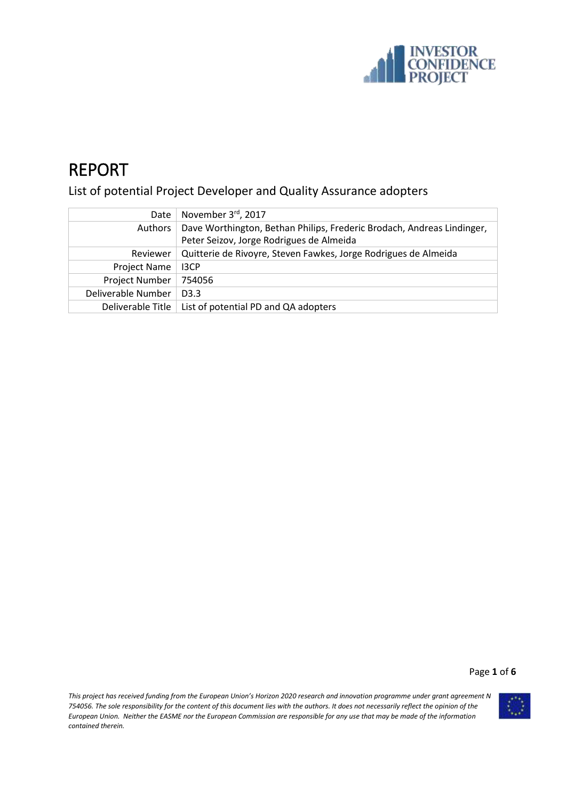

# REPORT

List of potential Project Developer and Quality Assurance adopters

| Date                | November 3 <sup>rd</sup> , 2017                                        |
|---------------------|------------------------------------------------------------------------|
| Authors             | Dave Worthington, Bethan Philips, Frederic Brodach, Andreas Lindinger, |
|                     | Peter Seizov, Jorge Rodrigues de Almeida                               |
| Reviewer            | Quitterie de Rivoyre, Steven Fawkes, Jorge Rodrigues de Almeida        |
| <b>Project Name</b> | 13CP                                                                   |
| Project Number      | 754056                                                                 |
| Deliverable Number  | D <sub>3</sub> .3                                                      |
| Deliverable Title   | List of potential PD and QA adopters                                   |

Page **1** of **6**

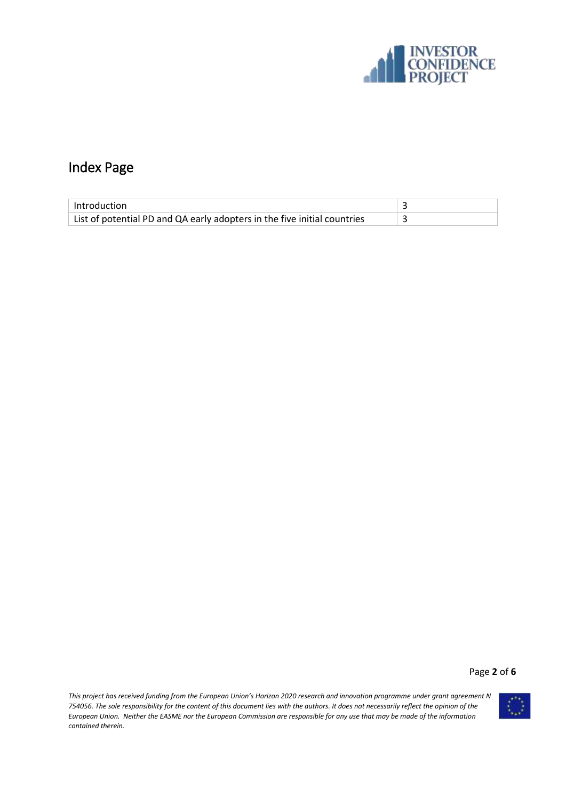

## Index Page

| Introduction                                                             |  |
|--------------------------------------------------------------------------|--|
| List of potential PD and QA early adopters in the five initial countries |  |

Page **2** of **6**

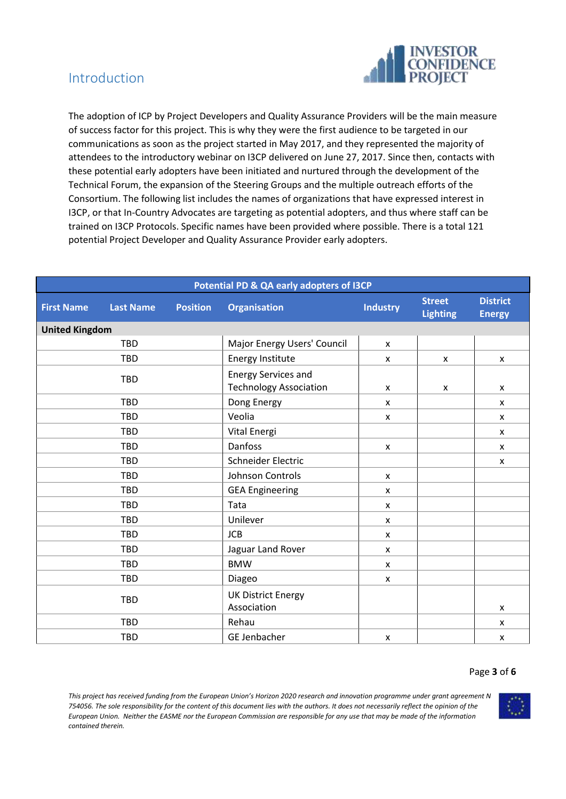

### Introduction

The adoption of ICP by Project Developers and Quality Assurance Providers will be the main measure of success factor for this project. This is why they were the first audience to be targeted in our communications as soon as the project started in May 2017, and they represented the majority of attendees to the introductory webinar on I3CP delivered on June 27, 2017. Since then, contacts with these potential early adopters have been initiated and nurtured through the development of the Technical Forum, the expansion of the Steering Groups and the multiple outreach efforts of the Consortium. The following list includes the names of organizations that have expressed interest in I3CP, or that In-Country Advocates are targeting as potential adopters, and thus where staff can be trained on I3CP Protocols. Specific names have been provided where possible. There is a total 121 potential Project Developer and Quality Assurance Provider early adopters.

| Potential PD & QA early adopters of I3CP                 |            |                                          |                                                                               |                                  |                                  |                           |
|----------------------------------------------------------|------------|------------------------------------------|-------------------------------------------------------------------------------|----------------------------------|----------------------------------|---------------------------|
| <b>Position</b><br><b>First Name</b><br><b>Last Name</b> |            | <b>Organisation</b><br><b>Industry</b>   |                                                                               | <b>Street</b><br><b>Lighting</b> | <b>District</b><br><b>Energy</b> |                           |
| <b>United Kingdom</b>                                    |            |                                          |                                                                               |                                  |                                  |                           |
|                                                          | <b>TBD</b> |                                          | Major Energy Users' Council                                                   | X                                |                                  |                           |
|                                                          | <b>TBD</b> |                                          | <b>Energy Institute</b>                                                       | X                                | X                                | $\pmb{\times}$            |
|                                                          | <b>TBD</b> |                                          | <b>Energy Services and</b><br><b>Technology Association</b><br>$\pmb{\times}$ |                                  | X                                | $\pmb{\times}$            |
|                                                          | <b>TBD</b> |                                          | Dong Energy                                                                   | $\pmb{\times}$                   |                                  | $\pmb{\times}$            |
|                                                          | <b>TBD</b> |                                          | Veolia                                                                        | $\pmb{\times}$                   |                                  | $\boldsymbol{\mathsf{x}}$ |
|                                                          | <b>TBD</b> |                                          | Vital Energi                                                                  |                                  |                                  | X                         |
|                                                          | <b>TBD</b> |                                          | Danfoss                                                                       | $\pmb{\mathsf{X}}$               |                                  | X                         |
|                                                          | <b>TBD</b> |                                          | Schneider Electric                                                            |                                  |                                  | X                         |
| <b>TBD</b>                                               |            | Johnson Controls                         | X                                                                             |                                  |                                  |                           |
|                                                          | <b>TBD</b> |                                          | <b>GEA Engineering</b>                                                        | X                                |                                  |                           |
|                                                          | <b>TBD</b> |                                          | Tata                                                                          | $\mathsf{x}$                     |                                  |                           |
|                                                          | <b>TBD</b> |                                          | Unilever                                                                      | X                                |                                  |                           |
|                                                          | <b>TBD</b> |                                          | <b>JCB</b>                                                                    | $\pmb{\times}$                   |                                  |                           |
| <b>TBD</b>                                               |            | Jaguar Land Rover                        | X                                                                             |                                  |                                  |                           |
| <b>TBD</b>                                               |            | <b>BMW</b>                               | $\pmb{\times}$                                                                |                                  |                                  |                           |
| TBD                                                      |            | Diageo                                   | X                                                                             |                                  |                                  |                           |
| <b>TBD</b>                                               |            | <b>UK District Energy</b><br>Association |                                                                               |                                  | X                                |                           |
|                                                          | <b>TBD</b> |                                          | Rehau                                                                         |                                  |                                  | X                         |
| <b>TBD</b>                                               |            | <b>GE Jenbacher</b>                      | X                                                                             |                                  | X                                |                           |

#### Page **3** of **6**

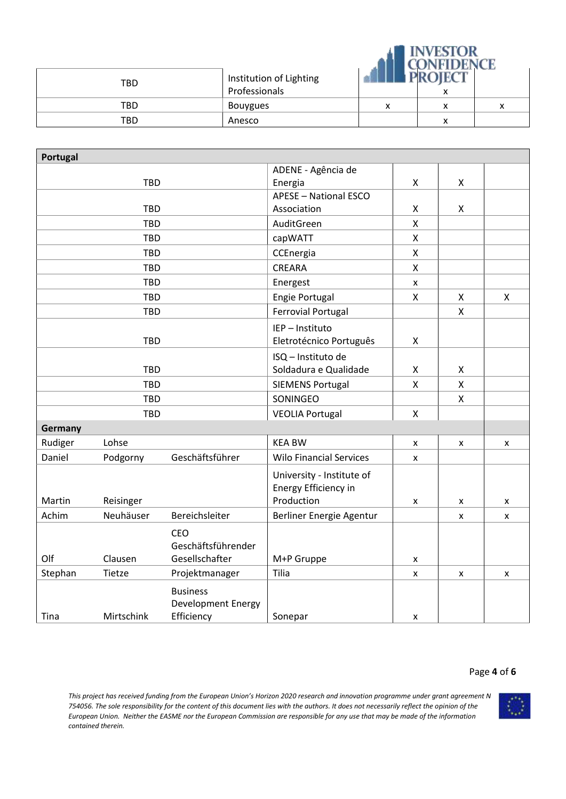|     |                                          | <b>INVESTOR</b><br><b>CONFIDENCE</b> |   |              |  |
|-----|------------------------------------------|--------------------------------------|---|--------------|--|
| TBD | Institution of Lighting<br>Professionals |                                      | x |              |  |
| TBD | Bouygues                                 | v<br>л                               | x | $\checkmark$ |  |
| TBD | Anesco                                   |                                      | x |              |  |

| Portugal   |            |                           |                                |                    |                           |   |
|------------|------------|---------------------------|--------------------------------|--------------------|---------------------------|---|
|            |            |                           | ADENE - Agência de             |                    |                           |   |
| <b>TBD</b> |            |                           | Energia                        | X                  | X                         |   |
|            |            |                           | <b>APESE - National ESCO</b>   |                    |                           |   |
| <b>TBD</b> |            |                           | Association                    | Χ                  | X                         |   |
|            | <b>TBD</b> |                           | AuditGreen                     | $\pmb{\mathsf{X}}$ |                           |   |
|            | <b>TBD</b> |                           | capWATT                        | $\pmb{\mathsf{X}}$ |                           |   |
|            | <b>TBD</b> |                           | CCEnergia                      | X                  |                           |   |
|            | <b>TBD</b> |                           | CREARA                         | $\pmb{\mathsf{X}}$ |                           |   |
|            | <b>TBD</b> |                           | Energest                       | X                  |                           |   |
|            | <b>TBD</b> |                           | Engie Portugal                 | Χ                  | X                         | X |
|            | <b>TBD</b> |                           | <b>Ferrovial Portugal</b>      |                    | $\boldsymbol{\mathsf{X}}$ |   |
|            |            |                           | IEP - Instituto                |                    |                           |   |
|            | <b>TBD</b> |                           | Eletrotécnico Português        | $\pmb{\mathsf{X}}$ |                           |   |
|            |            |                           | ISQ - Instituto de             |                    |                           |   |
|            | <b>TBD</b> |                           | Soldadura e Qualidade          | X                  | X                         |   |
| <b>TBD</b> |            |                           | <b>SIEMENS Portugal</b>        | $\pmb{\mathsf{X}}$ | $\pmb{\times}$            |   |
| <b>TBD</b> |            |                           | SONINGEO                       |                    | $\mathsf{X}$              |   |
| <b>TBD</b> |            |                           | <b>VEOLIA Portugal</b>         | $\pmb{\mathsf{X}}$ |                           |   |
| Germany    |            |                           |                                |                    |                           |   |
| Rudiger    | Lohse      |                           | <b>KEA BW</b>                  | X                  | X                         | X |
| Daniel     | Podgorny   | Geschäftsführer           | <b>Wilo Financial Services</b> | X                  |                           |   |
|            |            |                           | University - Institute of      |                    |                           |   |
|            |            |                           | Energy Efficiency in           |                    |                           |   |
| Martin     | Reisinger  |                           | Production                     | X                  | X                         | X |
| Achim      | Neuhäuser  | Bereichsleiter            | Berliner Energie Agentur       |                    | X                         | X |
|            |            | <b>CEO</b>                |                                |                    |                           |   |
|            |            | Geschäftsführender        |                                |                    |                           |   |
| Olf        | Clausen    | Gesellschafter            | M+P Gruppe                     | X                  |                           |   |
| Stephan    | Tietze     | Projektmanager            | Tilia                          | X                  | X                         | X |
|            |            | <b>Business</b>           |                                |                    |                           |   |
|            |            | <b>Development Energy</b> |                                |                    |                           |   |
| Tina       | Mirtschink | Efficiency                | Sonepar                        | X                  |                           |   |

#### Page **4** of **6**

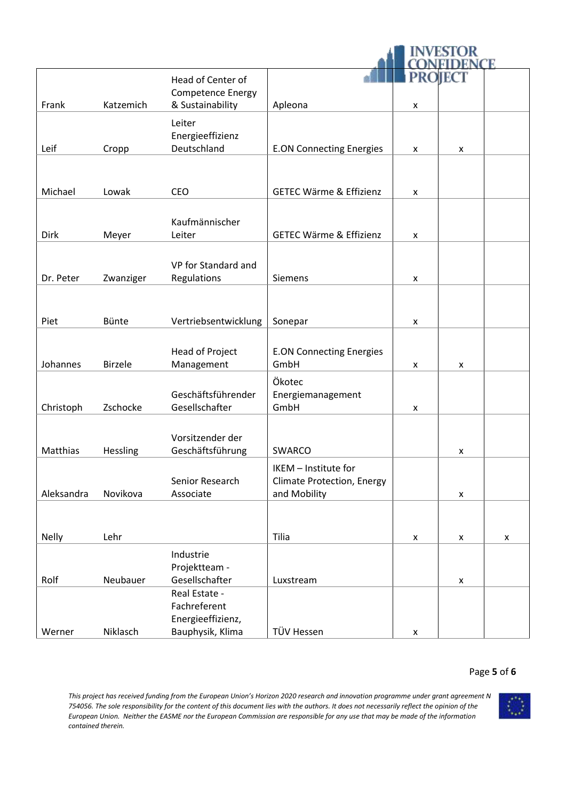|              |                | Head of Center of                     |                                                           | PRO                | EC                 |   |
|--------------|----------------|---------------------------------------|-----------------------------------------------------------|--------------------|--------------------|---|
| Frank        | Katzemich      | Competence Energy<br>& Sustainability | Apleona                                                   | X                  |                    |   |
|              |                | Leiter<br>Energieeffizienz            |                                                           |                    |                    |   |
| Leif         | Cropp          | Deutschland                           | <b>E.ON Connecting Energies</b>                           | $\pmb{\mathsf{x}}$ | X                  |   |
| Michael      | Lowak          | <b>CEO</b>                            | <b>GETEC Wärme &amp; Effizienz</b>                        | X                  |                    |   |
|              |                |                                       |                                                           |                    |                    |   |
| <b>Dirk</b>  | Meyer          | Kaufmännischer<br>Leiter              | <b>GETEC Wärme &amp; Effizienz</b>                        | x                  |                    |   |
| Dr. Peter    | Zwanziger      | VP for Standard and<br>Regulations    | Siemens                                                   | X                  |                    |   |
|              |                |                                       |                                                           |                    |                    |   |
| Piet         | Bünte          | Vertriebsentwicklung                  | Sonepar                                                   | X                  |                    |   |
|              |                |                                       |                                                           |                    |                    |   |
| Johannes     | <b>Birzele</b> | Head of Project<br>Management         | <b>E.ON Connecting Energies</b><br>GmbH                   | X                  | X                  |   |
| Christoph    | Zschocke       | Geschäftsführender<br>Gesellschafter  | Ökotec<br>Energiemanagement<br>GmbH                       | $\pmb{\mathsf{x}}$ |                    |   |
|              |                |                                       |                                                           |                    |                    |   |
| Matthias     | Hessling       | Vorsitzender der<br>Geschäftsführung  | <b>SWARCO</b>                                             |                    | x                  |   |
|              |                | Senior Research                       | IKEM - Institute for<br><b>Climate Protection, Energy</b> |                    |                    |   |
| Aleksandra   | Novikova       | Associate                             | and Mobility                                              |                    | $\pmb{\mathsf{x}}$ |   |
|              |                |                                       |                                                           |                    |                    |   |
| <b>Nelly</b> | Lehr           |                                       | Tilia                                                     | $\pmb{\mathsf{x}}$ | X                  | X |
|              |                | Industrie                             |                                                           |                    |                    |   |
|              |                | Projektteam -                         |                                                           |                    |                    |   |
| Rolf         | Neubauer       | Gesellschafter                        | Luxstream                                                 |                    | X                  |   |
|              |                | Real Estate -<br>Fachreferent         |                                                           |                    |                    |   |
|              |                | Energieeffizienz,                     |                                                           |                    |                    |   |
| Werner       | Niklasch       | Bauphysik, Klima                      | TÜV Hessen                                                | $\pmb{\mathsf{x}}$ |                    |   |

#### Page **5** of **6**